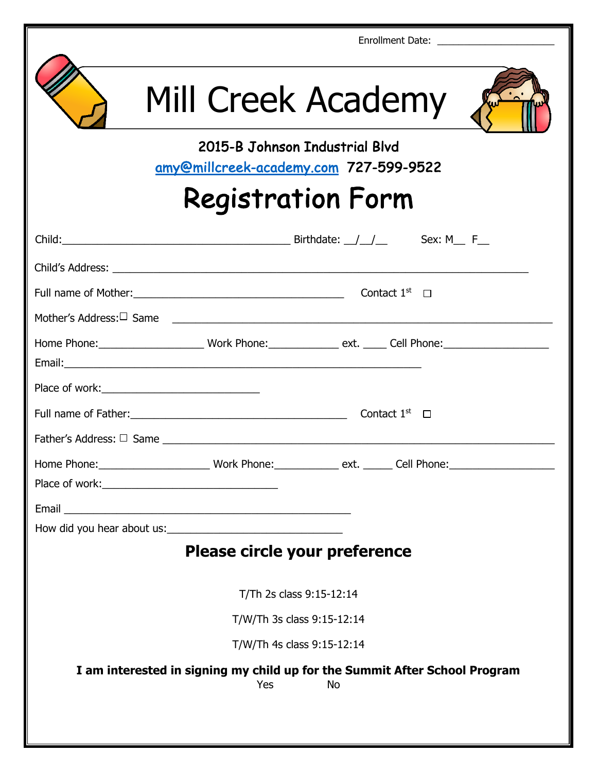| Enrollment Date: ___________________________                                                                                                                                                                                   |  |
|--------------------------------------------------------------------------------------------------------------------------------------------------------------------------------------------------------------------------------|--|
| Mill Creek Academy                                                                                                                                                                                                             |  |
| 2015-B Johnson Industrial Blvd<br>amy@millcreek-academy.com 727-599-9522                                                                                                                                                       |  |
| <b>Registration Form</b>                                                                                                                                                                                                       |  |
|                                                                                                                                                                                                                                |  |
|                                                                                                                                                                                                                                |  |
| Full name of Mother: $\Box$ Contact 1st $\Box$                                                                                                                                                                                 |  |
|                                                                                                                                                                                                                                |  |
|                                                                                                                                                                                                                                |  |
|                                                                                                                                                                                                                                |  |
|                                                                                                                                                                                                                                |  |
|                                                                                                                                                                                                                                |  |
|                                                                                                                                                                                                                                |  |
|                                                                                                                                                                                                                                |  |
| Place of work: New York: New York: New York: New York: New York: New York: New York: New York: New York: New York: New York: New York: New York: New York: New York: New York: New York: New York: New York: New York: New Yor |  |
|                                                                                                                                                                                                                                |  |
| Please circle your preference                                                                                                                                                                                                  |  |
|                                                                                                                                                                                                                                |  |
| T/Th 2s class 9:15-12:14                                                                                                                                                                                                       |  |
| T/W/Th 3s class 9:15-12:14                                                                                                                                                                                                     |  |
| T/W/Th 4s class 9:15-12:14                                                                                                                                                                                                     |  |
| I am interested in signing my child up for the Summit After School Program<br><b>No</b><br>Yes                                                                                                                                 |  |
|                                                                                                                                                                                                                                |  |